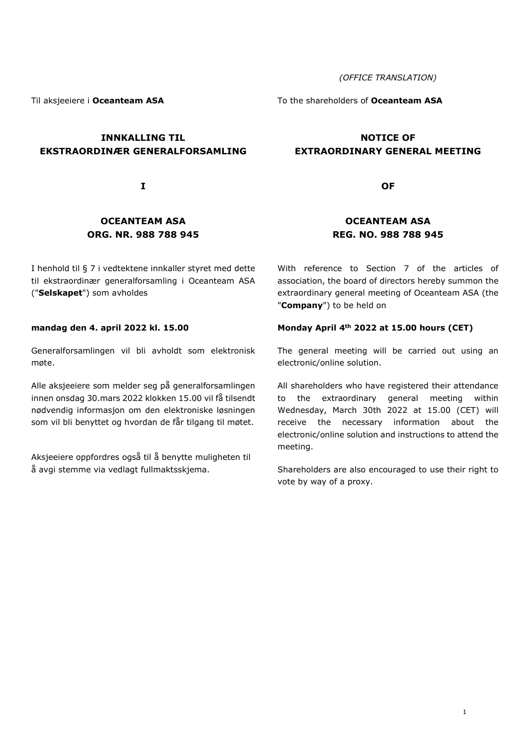(OFFICE TRANSLATION)

Til aksjeeiere i Oceanteam ASA

# INNKALLING TIL EKSTRAORDINÆR GENERALFORSAMLING

I

# OCEANTEAM ASA ORG. NR. 988 788 945

I henhold til § 7 i vedtektene innkaller styret med dette til ekstraordinær generalforsamling i Oceanteam ASA ("Selskapet") som avholdes

#### mandag den 4. april 2022 kl. 15.00

Generalforsamlingen vil bli avholdt som elektronisk møte.

Alle aksjeeiere som melder seg på generalforsamlingen innen onsdag 30.mars 2022 klokken 15.00 vil få tilsendt nødvendig informasjon om den elektroniske løsningen som vil bli benyttet og hvordan de får tilgang til møtet.

Aksjeeiere oppfordres også til å benytte muligheten til å avgi stemme via vedlagt fullmaktsskjema.

To the shareholders of Oceanteam ASA

# NOTICE OF EXTRAORDINARY GENERAL MEETING

**OF** 

# OCEANTEAM ASA REG. NO. 988 788 945

With reference to Section 7 of the articles of association, the board of directors hereby summon the extraordinary general meeting of Oceanteam ASA (the "Company") to be held on

#### Monday April 4th 2022 at 15.00 hours (CET)

The general meeting will be carried out using an electronic/online solution.

All shareholders who have registered their attendance to the extraordinary general meeting within Wednesday, March 30th 2022 at 15.00 (CET) will receive the necessary information about the electronic/online solution and instructions to attend the meeting.

Shareholders are also encouraged to use their right to vote by way of a proxy.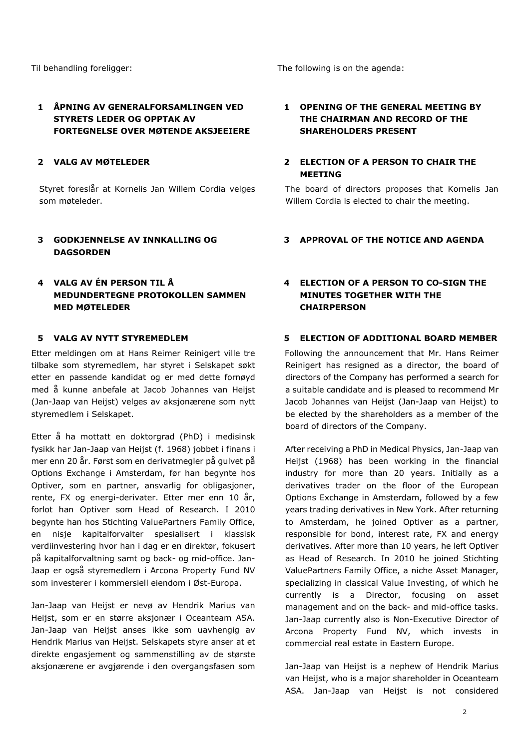# 1 ÅPNING AV GENERALFORSAMLINGEN VED STYRETS LEDER OG OPPTAK AV FORTEGNELSE OVER MØTENDE AKSJEEIERE

## 2 VALG AV MØTELEDER

Styret foreslår at Kornelis Jan Willem Cordia velges som møteleder.

# 3 GODKJENNELSE AV INNKALLING OG DAGSORDEN

# 4 VALG AV ÉN PERSON TIL Å MEDUNDERTEGNE PROTOKOLLEN SAMMEN MED MØTELEDER

Etter meldingen om at Hans Reimer Reinigert ville tre tilbake som styremedlem, har styret i Selskapet søkt etter en passende kandidat og er med dette fornøyd med å kunne anbefale at Jacob Johannes van Heijst (Jan-Jaap van Heijst) velges av aksjonærene som nytt styremedlem i Selskapet.

Etter å ha mottatt en doktorgrad (PhD) i medisinsk fysikk har Jan-Jaap van Heijst (f. 1968) jobbet i finans i mer enn 20 år. Først som en derivatmegler på gulvet på Options Exchange i Amsterdam, før han begynte hos Optiver, som en partner, ansvarlig for obligasjoner, rente, FX og energi-derivater. Etter mer enn 10 år, forlot han Optiver som Head of Research. I 2010 begynte han hos Stichting ValuePartners Family Office, en nisje kapitalforvalter spesialisert i klassisk verdiinvestering hvor han i dag er en direktør, fokusert på kapitalforvaltning samt og back- og mid-office. Jan-Jaap er også styremedlem i Arcona Property Fund NV som investerer i kommersiell eiendom i Øst-Europa.

Jan-Jaap van Heijst er nevø av Hendrik Marius van Heijst, som er en større aksjonær i Oceanteam ASA. Jan-Jaap van Heijst anses ikke som uavhengig av Hendrik Marius van Heijst. Selskapets styre anser at et direkte engasjement og sammenstilling av de største aksjonærene er avgjørende i den overgangsfasen som

Til behandling foreligger: Til behandling foreligger: The following is on the agenda:

## 1 OPENING OF THE GENERAL MEETING BY THE CHAIRMAN AND RECORD OF THE SHAREHOLDERS PRESENT

## 2 ELECTION OF A PERSON TO CHAIR THE MEETING

The board of directors proposes that Kornelis Jan Willem Cordia is elected to chair the meeting.

#### 3 APPROVAL OF THE NOTICE AND AGENDA

## 4 ELECTION OF A PERSON TO CO-SIGN THE MINUTES TOGETHER WITH THE **CHAIRPERSON**

## 5 VALG AV NYTT STYREMEDLEM 5 ELECTION OF ADDITIONAL BOARD MEMBER

Following the announcement that Mr. Hans Reimer Reinigert has resigned as a director, the board of directors of the Company has performed a search for a suitable candidate and is pleased to recommend Mr Jacob Johannes van Heijst (Jan-Jaap van Heijst) to be elected by the shareholders as a member of the board of directors of the Company.

After receiving a PhD in Medical Physics, Jan-Jaap van Heijst (1968) has been working in the financial industry for more than 20 years. Initially as a derivatives trader on the floor of the European Options Exchange in Amsterdam, followed by a few years trading derivatives in New York. After returning to Amsterdam, he joined Optiver as a partner, responsible for bond, interest rate, FX and energy derivatives. After more than 10 years, he left Optiver as Head of Research. In 2010 he joined Stichting ValuePartners Family Office, a niche Asset Manager, specializing in classical Value Investing, of which he currently is a Director, focusing on asset management and on the back- and mid-office tasks. Jan-Jaap currently also is Non-Executive Director of Arcona Property Fund NV, which invests in commercial real estate in Eastern Europe.

Jan-Jaap van Heijst is a nephew of Hendrik Marius van Heijst, who is a major shareholder in Oceanteam ASA. Jan-Jaap van Heijst is not considered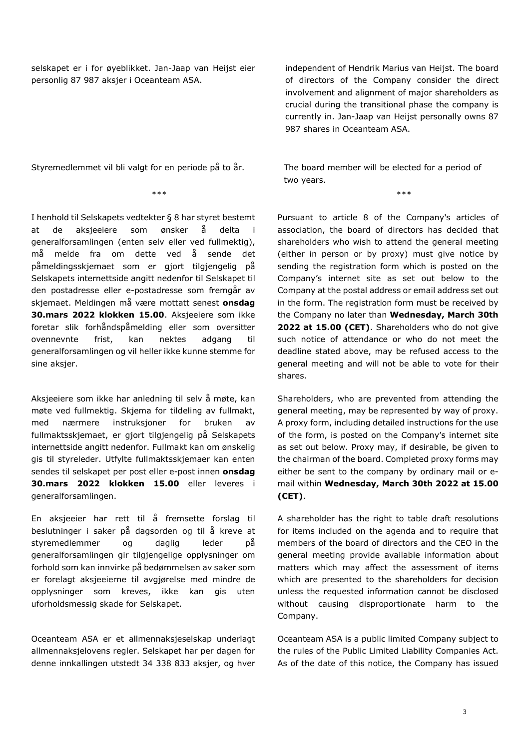selskapet er i for øyeblikket. Jan-Jaap van Heijst eier personlig 87 987 aksjer i Oceanteam ASA.

Styremedlemmet vil bli valgt for en periode på to år. The board member will be elected for a period of

I henhold til Selskapets vedtekter § 8 har styret bestemt at de aksjeeiere som ønsker å delta generalforsamlingen (enten selv eller ved fullmektig), må melde fra om dette ved å sende det påmeldingsskjemaet som er gjort tilgjengelig på Selskapets internettside angitt nedenfor til Selskapet til den postadresse eller e-postadresse som fremgår av skiemaet. Meldingen må være mottatt senest onsdag 30.mars 2022 klokken 15.00. Aksjeeiere som ikke foretar slik forhåndspåmelding eller som oversitter ovennevnte frist, kan nektes adgang til generalforsamlingen og vil heller ikke kunne stemme for sine aksjer.

Aksjeeiere som ikke har anledning til selv å møte, kan møte ved fullmektig. Skjema for tildeling av fullmakt, med nærmere instruksjoner for bruken av fullmaktsskjemaet, er gjort tilgjengelig på Selskapets internettside angitt nedenfor. Fullmakt kan om ønskelig gis til styreleder. Utfylte fullmaktsskjemaer kan enten sendes til selskapet per post eller e-post innen onsdag 30.mars 2022 klokken 15.00 eller leveres i generalforsamlingen.

En aksjeeier har rett til å fremsette forslag til beslutninger i saker på dagsorden og til å kreve at styremedlemmer og daglig leder på generalforsamlingen gir tilgjengelige opplysninger om forhold som kan innvirke på bedømmelsen av saker som er forelagt aksjeeierne til avgjørelse med mindre de opplysninger som kreves, ikke kan gis uten uforholdsmessig skade for Selskapet.

Oceanteam ASA er et allmennaksjeselskap underlagt allmennaksjelovens regler. Selskapet har per dagen for denne innkallingen utstedt 34 338 833 aksjer, og hver independent of Hendrik Marius van Heijst. The board of directors of the Company consider the direct involvement and alignment of major shareholders as crucial during the transitional phase the company is currently in. Jan-Jaap van Heijst personally owns 87 987 shares in Oceanteam ASA.

two years.

\*\*\* \*\*\*

Pursuant to article 8 of the Company's articles of association, the board of directors has decided that

shareholders who wish to attend the general meeting (either in person or by proxy) must give notice by sending the registration form which is posted on the Company's internet site as set out below to the Company at the postal address or email address set out in the form. The registration form must be received by the Company no later than Wednesday, March 30th 2022 at 15.00 (CET). Shareholders who do not give such notice of attendance or who do not meet the deadline stated above, may be refused access to the general meeting and will not be able to vote for their shares.

Shareholders, who are prevented from attending the general meeting, may be represented by way of proxy. A proxy form, including detailed instructions for the use of the form, is posted on the Company's internet site as set out below. Proxy may, if desirable, be given to the chairman of the board. Completed proxy forms may either be sent to the company by ordinary mail or email within Wednesday, March 30th 2022 at 15.00 (CET).

A shareholder has the right to table draft resolutions for items included on the agenda and to require that members of the board of directors and the CEO in the general meeting provide available information about matters which may affect the assessment of items which are presented to the shareholders for decision unless the requested information cannot be disclosed without causing disproportionate harm to the Company.

Oceanteam ASA is a public limited Company subject to the rules of the Public Limited Liability Companies Act. As of the date of this notice, the Company has issued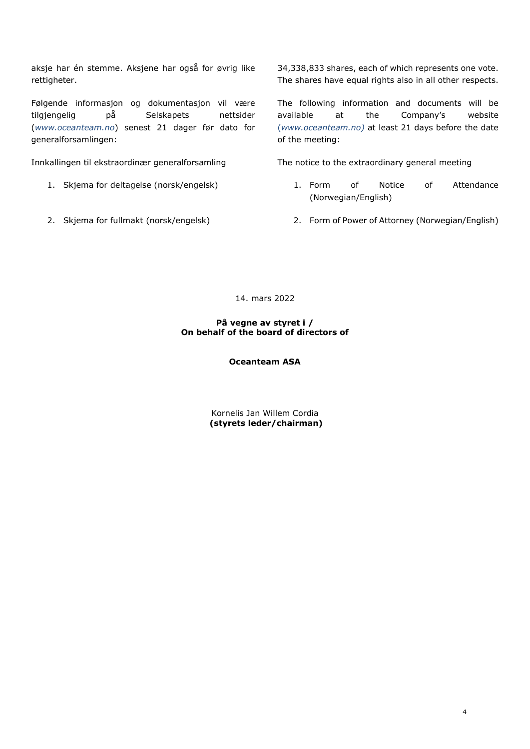aksje har én stemme. Aksjene har også for øvrig like rettigheter.

Følgende informasjon og dokumentasjon vil være tilgjengelig på Selskapets nettsider (www.oceanteam.no) senest 21 dager før dato for generalforsamlingen:

- 
- 

34,338,833 shares, each of which represents one vote. The shares have equal rights also in all other respects.

The following information and documents will be available at the Company's website (www.oceanteam.no) at least 21 days before the date of the meeting:

Innkallingen til ekstraordinær generalforsamling The notice to the extraordinary general meeting

- 1. Skjema for deltagelse (norsk/engelsk) 1. Form of Notice of Attendance (Norwegian/English)
- 2. Skjema for fullmakt (norsk/engelsk) 2. Form of Power of Attorney (Norwegian/English)

14. mars 2022

#### På vegne av styret i / On behalf of the board of directors of

#### Oceanteam ASA

Kornelis Jan Willem Cordia (styrets leder/chairman)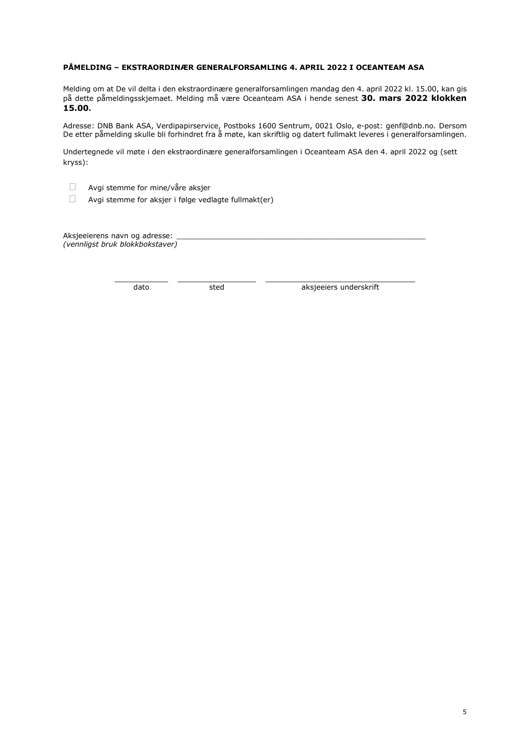#### PÅMELDING – EKSTRAORDINÆR GENERALFORSAMLING 4. APRIL 2022 I OCEANTEAM ASA

Melding om at De vil delta i den ekstraordinære generalforsamlingen mandag den 4. april 2022 kl. 15.00, kan gis på dette påmeldingsskjemaet. Melding må være Oceanteam ASA i hende senest 30. mars 2022 klokken 15.00.

Adresse: DNB Bank ASA, Verdipapirservice, Postboks 1600 Sentrum, 0021 Oslo, e-post: genf@dnb.no. Dersom De etter påmelding skulle bli forhindret fra å møte, kan skriftlig og datert fullmakt leveres i generalforsamlingen.

Undertegnede vil møte i den ekstraordinære generalforsamlingen i Oceanteam ASA den 4. april 2022 og (sett kryss):

\_\_\_\_\_\_\_\_\_\_\_\_\_\_\_ \_\_\_\_\_\_\_\_\_\_\_\_\_\_\_\_\_\_\_\_\_\_ \_\_\_\_\_\_\_\_\_\_\_\_\_\_\_\_\_\_\_\_\_\_\_\_\_\_\_\_\_\_\_\_\_\_\_\_\_\_\_\_\_\_

- Avgi stemme for mine/våre aksjer
- $\Box$  Avgi stemme for aksjer i følge vedlagte fullmakt(er)

Aksjeeierens navn og adresse: (vennligst bruk blokkbokstaver)

dato sted sted aksjeeiers underskrift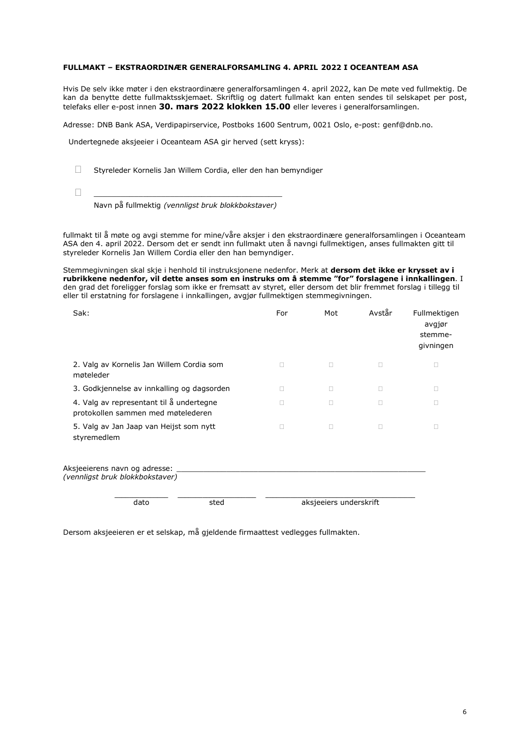#### FULLMAKT – EKSTRAORDINÆR GENERALFORSAMLING 4. APRIL 2022 I OCEANTEAM ASA

Hvis De selv ikke møter i den ekstraordinære generalforsamlingen 4. april 2022, kan De møte ved fullmektig. De kan da benytte dette fullmaktsskjemaet. Skriftlig og datert fullmakt kan enten sendes til selskapet per post, telefaks eller e-post innen 30. mars 2022 klokken 15.00 eller leveres i generalforsamlingen.

Adresse: DNB Bank ASA, Verdipapirservice, Postboks 1600 Sentrum, 0021 Oslo, e-post: genf@dnb.no.

Undertegnede aksjeeier i Oceanteam ASA gir herved (sett kryss):

- Styreleder Kornelis Jan Willem Cordia, eller den han bemyndiger
- \_\_\_\_\_\_\_\_\_\_\_\_\_\_\_\_\_\_\_\_\_\_\_\_\_\_\_\_\_\_\_\_\_\_\_\_\_\_\_\_\_\_

Navn på fullmektig (vennligst bruk blokkbokstaver)

fullmakt til å møte og avgi stemme for mine/våre aksjer i den ekstraordinære generalforsamlingen i Oceanteam ASA den 4. april 2022. Dersom det er sendt inn fullmakt uten å navngi fullmektigen, anses fullmakten gitt til styreleder Kornelis Jan Willem Cordia eller den han bemyndiger.

Stemmegivningen skal skje i henhold til instruksjonene nedenfor. Merk at dersom det ikke er krysset av i rubrikkene nedenfor, vil dette anses som en instruks om å stemme "for" forslagene i innkallingen. I den grad det foreligger forslag som ikke er fremsatt av styret, eller dersom det blir fremmet forslag i tillegg til eller til erstatning for forslagene i innkallingen, avgjør fullmektigen stemmegivningen.

| Sak:                                                                           | For                    | Mot | Avstår | Fullmektigen<br>avgjør<br>stemme-<br>givningen |  |
|--------------------------------------------------------------------------------|------------------------|-----|--------|------------------------------------------------|--|
| 2. Valg av Kornelis Jan Willem Cordia som<br>møteleder                         | п                      | П   | П      | П                                              |  |
| 3. Godkjennelse av innkalling og dagsorden                                     | п                      | о   | □      | П                                              |  |
| 4. Valg av representant til å undertegne<br>protokollen sammen med møtelederen |                        | п   |        |                                                |  |
| 5. Valg av Jan Jaap van Heijst som nytt<br>styremedlem                         |                        | П   | П      | п                                              |  |
| Aksjeeierens navn og adresse:<br>(vennligst bruk blokkbokstaver)               |                        |     |        |                                                |  |
| dato<br>sted                                                                   | aksjeeiers underskrift |     |        |                                                |  |

Dersom aksjeeieren er et selskap, må gjeldende firmaattest vedlegges fullmakten.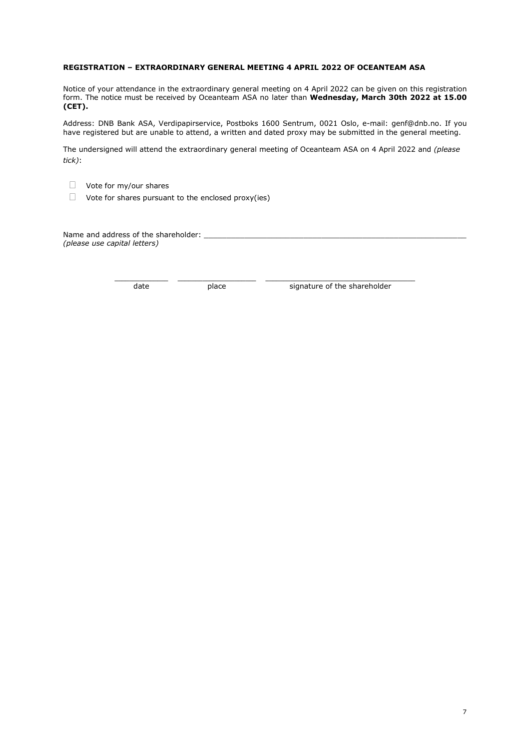#### REGISTRATION – EXTRAORDINARY GENERAL MEETING 4 APRIL 2022 OF OCEANTEAM ASA

Notice of your attendance in the extraordinary general meeting on 4 April 2022 can be given on this registration form. The notice must be received by Oceanteam ASA no later than Wednesday, March 30th 2022 at 15.00 (CET).

Address: DNB Bank ASA, Verdipapirservice, Postboks 1600 Sentrum, 0021 Oslo, e-mail: genf@dnb.no. If you have registered but are unable to attend, a written and dated proxy may be submitted in the general meeting.

The undersigned will attend the extraordinary general meeting of Oceanteam ASA on 4 April 2022 and (please tick):

- Vote for my/our shares
- $\Box$  Vote for shares pursuant to the enclosed proxy(ies)

Name and address of the shareholder: \_ (please use capital letters)

\_\_\_\_\_\_\_\_\_\_\_\_\_\_\_ \_\_\_\_\_\_\_\_\_\_\_\_\_\_\_\_\_\_\_\_\_\_ \_\_\_\_\_\_\_\_\_\_\_\_\_\_\_\_\_\_\_\_\_\_\_\_\_\_\_\_\_\_\_\_\_\_\_\_\_\_\_\_\_\_

date place place signature of the shareholder